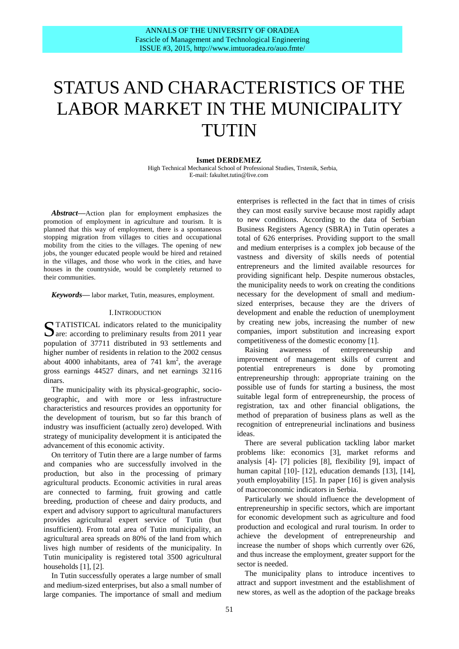# STATUS AND CHARACTERISTICS OF THE LABOR MARKET IN THE MUNICIPALITY TUTIN

## **Ismet DERDEMEZ**

High Technical Mechanical School of Professional Studies, Trstenik, Serbia, E-mail: fakultet.tutin@live.com

*Abstract***—**Action plan for employment emphasizes the promotion of employment in agriculture and tourism. It is planned that this way of employment, there is a spontaneous stopping migration from villages to cities and occupational mobility from the cities to the villages. The opening of new jobs, the younger educated people would be hired and retained in the villages, and those who work in the cities, and have houses in the countryside, would be completely returned to their communities.

*Keywords***—** labor market, Tutin, measures, employment.

#### I.INTRODUCTION

TATISTICAL indicators related to the municipality STATISTICAL indicators related to the municipality are: according to preliminary results from 2011 year population of 37711 distributed in 93 settlements and higher number of residents in relation to the 2002 census about 4000 inhabitants, area of 741  $\text{km}^2$ , the average gross earnings 44527 dinars, and net earnings 32116 dinars.

The municipality with its physical-geographic, sociogeographic, and with more or less infrastructure characteristics and resources provides an opportunity for the development of tourism, but so far this branch of industry was insufficient (actually zero) developed. With strategy of municipality development it is anticipated the advancement of this economic activity.

On territory of Tutin there are a large number of farms and companies who are successfully involved in the production, but also in the processing of primary agricultural products. Economic activities in rural areas are connected to farming, fruit growing and cattle breeding, production of cheese and dairy products, and expert and advisory support to agricultural manufacturers provides agricultural expert service of Tutin (but insufficient). From total area of Tutin municipality, an agricultural area spreads on 80% of the land from which lives high number of residents of the municipality. In Tutin municipality is registered total 3500 agricultural households [1], [2].

In Tutin successfully operates a large number of small and medium-sized enterprises, but also a small number of large companies. The importance of small and medium

enterprises is reflected in the fact that in times of crisis they can most easily survive because most rapidly adapt to new conditions. According to the data of Serbian Business Registers Agency (SBRA) in Tutin operates a total of 626 enterprises. Providing support to the small and medium enterprises is a complex job because of the vastness and diversity of skills needs of potential entrepreneurs and the limited available resources for providing significant help. Despite numerous obstacles, the municipality needs to work on creating the conditions necessary for the development of small and mediumsized enterprises, because they are the drivers of development and enable the reduction of unemployment by creating new jobs, increasing the number of new companies, import substitution and increasing export competitiveness of the domestic economy [1].

Raising awareness of entrepreneurship and improvement of management skills of current and potential entrepreneurs is done by promoting entrepreneurship through: appropriate training on the possible use of funds for starting a business, the most suitable legal form of entrepreneurship, the process of registration, tax and other financial obligations, the method of preparation of business plans as well as the recognition of entrepreneurial inclinations and business ideas.

There are several publication tackling labor market problems like: economics [3], market reforms and analysis [4]- [7] policies [8], flexibility [9], impact of human capital [10]- [12], education demands [13], [14], youth employability [15]. In paper [16] is given analysis of macroeconomic indicators in Serbia.

Particularly we should influence the development of entrepreneurship in specific sectors, which are important for economic development such as agriculture and food production and ecological and rural tourism. In order to achieve the development of entrepreneurship and increase the number of shops which currently over 626, and thus increase the employment, greater support for the sector is needed.

The municipality plans to introduce incentives to attract and support investment and the establishment of new stores, as well as the adoption of the package breaks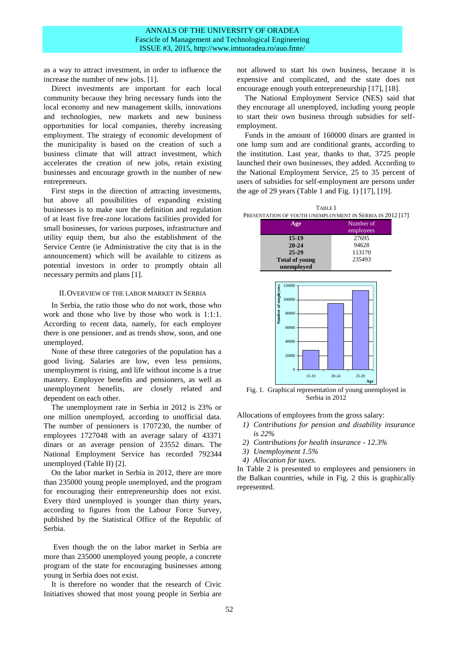as a way to attract investment, in order to influence the increase the number of new jobs. [1].

Direct investments are important for each local community because they bring necessary funds into the local economy and new management skills, innovations and technologies, new markets and new business opportunities for local companies, thereby increasing employment. The strategy of economic development of the municipality is based on the creation of such a business climate that will attract investment, which accelerates the creation of new jobs, retain existing businesses and encourage growth in the number of new entrepreneurs.

First steps in the direction of attracting investments, but above all possibilities of expanding existing businesses is to make sure the definition and regulation of at least five free-zone locations facilities provided for small businesses, for various purposes, infrastructure and utility equip them, but also the establishment of the Service Centre (ie Administrative the city that is in the announcement) which will be available to citizens as potential investors in order to promptly obtain all necessary permits and plans [1].

### II.OVERVIEW OF THE LABOR MARKET IN SERBIA

In Serbia, the ratio those who do not work, those who work and those who live by those who work is 1:1:1. According to recent data, namely, for each employee there is one pensioner, and as trends show, soon, and one unemployed.

None of these three categories of the population has a good living. Salaries are low, even less pensions, unemployment is rising, and life without income is a true mastery. Employee benefits and pensioners, as well as unemployment benefits, are closely related and dependent on each other.

The unemployment rate in Serbia in 2012 is 23% or one million unemployed, according to unofficial data. The number of pensioners is 1707230, the number of employees 1727048 with an average salary of 43371 dinars or an average pension of 23552 dinars. The National Employment Service has recorded 792344 unemployed (Table II) [2].

On the labor market in Serbia in 2012, there are more than 235000 young people unemployed, and the program for encouraging their entrepreneurship does not exist. Every third unemployed is younger than thirty years, according to figures from the Labour Force Survey, published by the Statistical Office of the Republic of Serbia.

Even though the on the labor market in Serbia are more than 235000 unemployed young people, a concrete program of the state for encouraging businesses among young in Serbia does not exist.

It is therefore no wonder that the research of Civic Initiatives showed that most young people in Serbia are not allowed to start his own business, because it is expensive and complicated, and the state does not encourage enough youth entrepreneurship [17], [18].

The National Employment Service (NES) said that they encourage all unemployed, including young people to start their own business through subsidies for selfemployment.

Funds in the amount of 160000 dinars are granted in one lump sum and are conditional grants, according to the institution. Last year, thanks to that, 3725 people launched their own businesses, they added. According to the National Employment Service, 25 to 35 percent of users of subsidies for self-employment are persons under the age of 29 years (Table 1 and Fig. 1) [17], [19].



**unemployed**



Fig. 1. Graphical representation of young unemployed in Serbia in 2012

Allocations of employees from the gross salary:

- *1) Contributions for pension and disability insurance is 22%*
- *2) Contributions for health insurance - 12.3%*
- *3) Unemployment 1.5%*
- *4) Allocation for taxes.*

In Table 2 is presented to employees and pensioners in the Balkan countries, while in Fig. 2 this is graphically represented.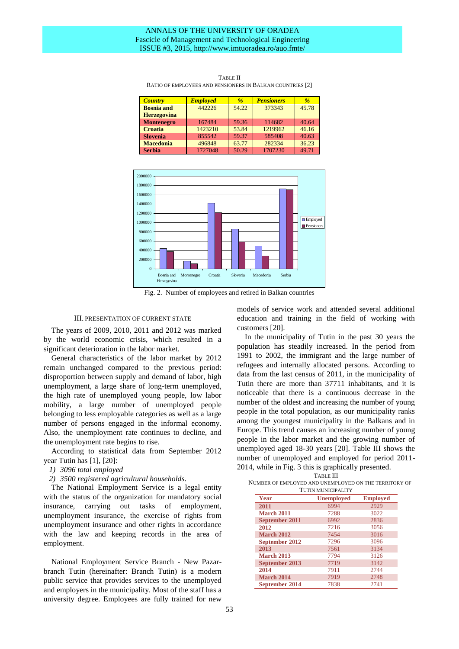## ANNALS OF THE UNIVERSITY OF ORADEA Fascicle of Management and Technological Engineering ISSUE #3, 2015, http://www.imtuoradea.ro/auo.fmte/

| <b>Country</b>     | <b>Employed</b> | $\frac{9}{6}$ | <b>Pensioners</b> | $\frac{9}{6}$ |
|--------------------|-----------------|---------------|-------------------|---------------|
| <b>Bosnia</b> and  | 442226          | 54.22         | 373343            | 45.78         |
| <b>Herzegovina</b> |                 |               |                   |               |
| <b>Montenegro</b>  | 167484          | 59.36         | 114682            | 40.64         |
| <b>Croatia</b>     | 1423210         | 53.84         | 1219962           | 46.16         |
| <b>Slovenia</b>    | 855542          | 59.37         | 585408            | 40.63         |
| <b>Macedonia</b>   | 496848          | 63.77         | 282334            | 36.23         |
| <b>Serbia</b>      | 1727048         | 50.29         | 1707230           | 49.71         |

TABLE II RATIO OF EMPLOYEES AND PENSIONERS IN BALKAN COUNTRIES [2]



Fig. 2. Number of employees and retired in Balkan countries

#### III. PRESENTATION OF CURRENT STATE

The years of 2009, 2010, 2011 and 2012 was marked by the world economic crisis, which resulted in a significant deterioration in the labor market.

General characteristics of the labor market by 2012 remain unchanged compared to the previous period: disproportion between supply and demand of labor, high unemployment, a large share of long-term unemployed, the high rate of unemployed young people, low labor mobility, a large number of unemployed people belonging to less employable categories as well as a large number of persons engaged in the informal economy. Also, the unemployment rate continues to decline, and the unemployment rate begins to rise.

According to statistical data from September 2012 year Tutin has [1], [20]:

- *1) 3096 total employed*
- *2) 3500 registered agricultural households.*

The National Employment Service is a legal entity with the status of the organization for mandatory social insurance, carrying out tasks of employment, unemployment insurance, the exercise of rights from unemployment insurance and other rights in accordance with the law and keeping records in the area of employment.

National Employment Service Branch - New Pazarbranch Tutin (hereinafter: Branch Tutin) is a modern public service that provides services to the unemployed and employers in the municipality. Most of the staff has a university degree. Employees are fully trained for new

models of service work and attended several additional education and training in the field of working with customers [20].

In the municipality of Tutin in the past 30 years the population has steadily increased. In the period from 1991 to 2002, the immigrant and the large number of refugees and internally allocated persons. According to data from the last census of 2011, in the municipality of Tutin there are more than 37711 inhabitants, and it is noticeable that there is a continuous decrease in the number of the oldest and increasing the number of young people in the total population, as our municipality ranks among the youngest municipality in the Balkans and in Europe. This trend causes an increasing number of young people in the labor market and the growing number of unemployed aged 18-30 years [20]. Table III shows the number of unemployed and employed for period 2011- 2014, while in Fig. 3 this is graphically presented.

| <b>TUTIN MUNICIPALITY</b><br>Year |                   |                 |  |  |
|-----------------------------------|-------------------|-----------------|--|--|
|                                   | <b>Unemployed</b> | <b>Employed</b> |  |  |
| 2011                              | 6994              | 2929            |  |  |
| <b>March 2011</b>                 | 7288              | 3022            |  |  |
| September 2011                    | 6992              | 2836            |  |  |
| 2012                              | 7216              | 3056            |  |  |
| <b>March 2012</b>                 | 7454              | 3016            |  |  |
| September 2012                    | 7296              | 3096            |  |  |
| 2013                              | 7561              | 3134            |  |  |
| <b>March 2013</b>                 | 7794              | 3126            |  |  |
| September 2013                    | 7719              | 3142            |  |  |
| 2014                              | 7911              | 2744            |  |  |
| <b>March 2014</b>                 | 7919              | 2748            |  |  |
| September 2014                    | 7838              | 2741            |  |  |

TABLE III NUMBER OF EMPLOYED AND UNEMPLOYED ON THE TERRITORY OF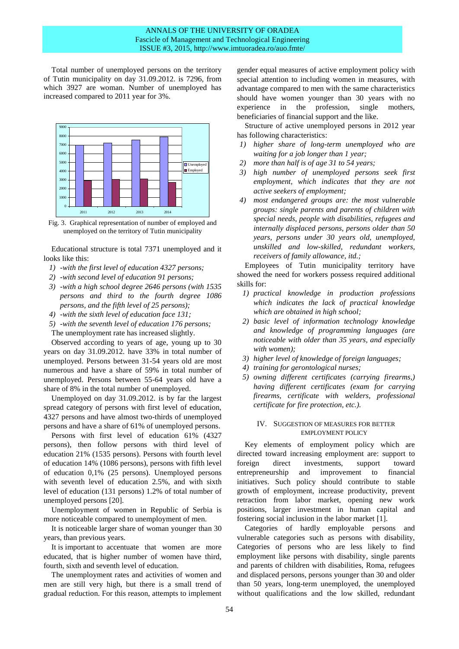Total number of unemployed persons on the territory of Tutin municipality on day 31.09.2012. is 7296, from which 3927 are woman. Number of unemployed has increased compared to 2011 year for 3%.



Fig. 3. Graphical representation of number of employed and unemployed on the territory of Tutin municipality

Educational structure is total 7371 unemployed and it looks like this:

- *1) -with the first level of education 4327 persons;*
- *2) -with second level of education 91 persons;*
- *3) -with a high school degree 2646 persons (with 1535 persons and third to the fourth degree 1086 persons, and the fifth level of 25 persons);*
- *4) -with the sixth level of education face 131;*
- *5) -with the seventh level of education 176 persons;* The unemployment rate has increased slightly.

Observed according to years of age, young up to 30 years on day 31.09.2012. have 33% in total number of unemployed. Persons between 31-54 years old are most numerous and have a share of 59% in total number of unemployed. Persons between 55-64 years old have a share of 8% in the total number of unemployed.

Unemployed on day 31.09.2012. is by far the largest spread category of persons with first level of education, 4327 persons and have almost two-thirds of unemployed persons and have a share of 61% of unemployed persons.

Persons with first level of education 61% (4327 persons), then follow persons with third level of education 21% (1535 persons). Persons with fourth level of education 14% (1086 persons), persons with fifth level of education 0,1% (25 persons). Unemployed persons with seventh level of education 2.5%, and with sixth level of education (131 persons) 1.2% of total number of unemployed persons [20].

Unemployment of women in Republic of Serbia is more noticeable compared to unemployment of men.

It is noticeable larger share of woman younger than 30 years, than previous years.

It is important to accentuate that women are more educated, that is higher number of women have third, fourth, sixth and seventh level of education.

The unemployment rates and activities of women and men are still very high, but there is a small trend of gradual reduction. For this reason, attempts to implement

gender equal measures of active employment policy with special attention to including women in measures, with advantage compared to men with the same characteristics should have women younger than 30 years with no experience in the profession, single mothers, beneficiaries of financial support and the like.

Structure of active unemployed persons in 2012 year has following characteristics:

- *1) higher share of long-term unemployed who are waiting for a job longer than 1 year;*
- *2) more than half is of age 31 to 54 years;*
- *3) high number of unemployed persons seek first employment, which indicates that they are not active seekers of employment;*
- *4) most endangered groups are: the most vulnerable groups: single parents and parents of children with special needs, people with disabilities, refugees and internally displaced persons, persons older than 50 years, persons under 30 years old, unemployed, unskilled and low-skilled, redundant workers, receivers of family allowance, itd.;*

Employees of Tutin municipality territory have showed the need for workers possess required additional skills for:

- *1) practical knowledge in production professions which indicates the lack of practical knowledge which are obtained in high school;*
- *2) basic level of information technology knowledge and knowledge of programming languages (are noticeable with older than 35 years, and especially with women);*
- *3) higher level of knowledge of foreign languages;*
- *4) training for gerontological nurses;*
- *5) owning different certificates (carrying firearms,) having different certificates (exam for carrying firearms, certificate with welders, professional certificate for fire protection, etc.).*

## IV. SUGGESTION OF MEASURES FOR BETTER EMPLOYMENT POLICY

Key elements of employment policy which are directed toward increasing employment are: support to foreign direct investments, support toward entrepreneurship and improvement to financial initiatives. Such policy should contribute to stable growth of employment, increase productivity, prevent retraction from labor market, opening new work positions, larger investment in human capital and fostering social inclusion in the labor market [1].

Categories of hardly employable persons and vulnerable categories such as persons with disability, Categories of persons who are less likely to find employment like persons with disability, single parents and parents of children with disabilities, Roma, refugees and displaced persons, persons younger than 30 and older than 50 years, long-term unemployed, the unemployed without qualifications and the low skilled, redundant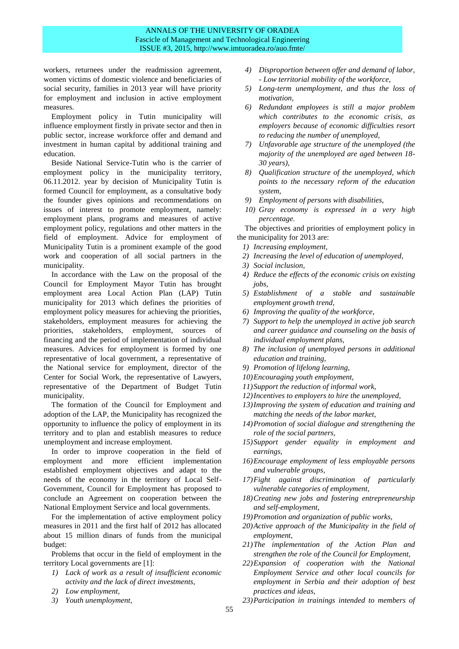# ANNALS OF THE UNIVERSITY OF ORADEA Fascicle of Management and Technological Engineering ISSUE #3, 2015, http://www.imtuoradea.ro/auo.fmte/

workers, returnees under the readmission agreement, women victims of domestic violence and beneficiaries of social security, families in 2013 year will have priority for employment and inclusion in active employment measures.

Employment policy in Tutin municipality will influence employment firstly in private sector and then in public sector, increase workforce offer and demand and investment in human capital by additional training and education.

Beside National Service-Tutin who is the carrier of employment policy in the municipality territory, 06.11.2012. year by decision of Municipality Tutin is formed Council for employment, as a consultative body the founder gives opinions and recommendations on issues of interest to promote employment, namely: employment plans, programs and measures of active employment policy, regulations and other matters in the field of employment. Advice for employment of Municipality Tutin is a prominent example of the good work and cooperation of all social partners in the municipality.

In accordance with the Law on the proposal of the Council for Employment Mayor Tutin has brought employment area Local Action Plan (LAP) Tutin municipality for 2013 which defines the priorities of employment policy measures for achieving the priorities, stakeholders, employment measures for achieving the priorities, stakeholders, employment, sources of financing and the period of implementation of individual measures. Advices for employment is formed by one representative of local government, a representative of the National service for employment, director of the Center for Social Work, the representative of Lawyers, representative of the Department of Budget Tutin municipality.

The formation of the Council for Employment and adoption of the LAP, the Municipality has recognized the opportunity to influence the policy of employment in its territory and to plan and establish measures to reduce unemployment and increase employment.

In order to improve cooperation in the field of employment and more efficient implementation established employment objectives and adapt to the needs of the economy in the territory of Local Self-Government, Council for Employment has proposed to conclude an Agreement on cooperation between the National Employment Service and local governments.

For the implementation of active employment policy measures in 2011 and the first half of 2012 has allocated about 15 million dinars of funds from the municipal budget:

Problems that occur in the field of employment in the territory Local governments are [1]:

- *1) Lack of work as a result of insufficient economic activity and the lack of direct investments,*
- *2) Low employment,*
- *3) Youth unemployment,*
- *4) Disproportion between offer and demand of labor, - Low territorial mobility of the workforce,*
- *5) Long-term unemployment, and thus the loss of motivation,*
- *6) Redundant employees is still a major problem which contributes to the economic crisis, as employers because of economic difficulties resort to reducing the number of unemployed,*
- *7) Unfavorable age structure of the unemployed (the majority of the unemployed are aged between 18- 30 years),*
- *8) Qualification structure of the unemployed, which points to the necessary reform of the education system,*
- *9) Employment of persons with disabilities,*
- *10) Gray economy is expressed in a very high percentage.*

The objectives and priorities of employment policy in the municipality for 2013 are:

- *1) Increasing employment,*
- *2) Increasing the level of education of unemployed,*
- *3) Social inclusion,*
- *4) Reduce the effects of the economic crisis on existing jobs,*
- *5) Establishment of a stable and sustainable employment growth trend,*
- *6) Improving the quality of the workforce,*
- *7) Support to help the unemployed in active job search and career guidance and counseling on the basis of individual employment plans,*
- *8) The inclusion of unemployed persons in additional education and training,*
- *9) Promotion of lifelong learning,*
- *10)Encouraging youth employment,*
- *11)Support the reduction of informal work,*
- *12)Incentives to employers to hire the unemployed,*
- *13)Improving the system of education and training and matching the needs of the labor market,*
- *14)Promotion of social dialogue and strengthening the role of the social partners,*
- *15)Support gender equality in employment and earnings,*
- *16)Encourage employment of less employable persons and vulnerable groups,*
- *17)Fight against discrimination of particularly vulnerable categories of employment,*
- *18)Creating new jobs and fostering entrepreneurship and self-employment,*
- *19)Promotion and organization of public works,*
- *20)Active approach of the Municipality in the field of employment,*
- *21)The implementation of the Action Plan and strengthen the role of the Council for Employment,*
- *22)Expansion of cooperation with the National Employment Service and other local councils for employment in Serbia and their adoption of best practices and ideas,*
- *23)Participation in trainings intended to members of*